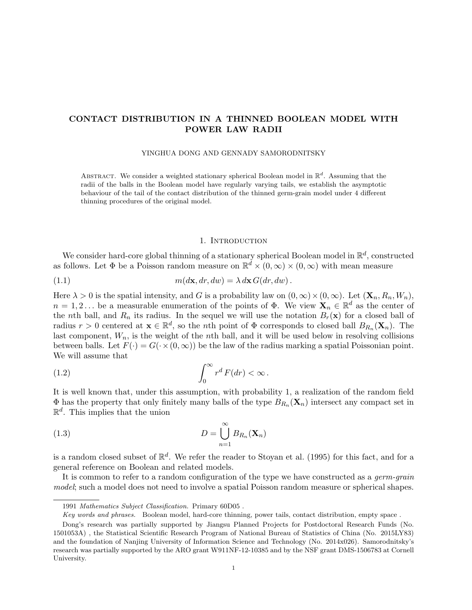# CONTACT DISTRIBUTION IN A THINNED BOOLEAN MODEL WITH POWER LAW RADII

YINGHUA DONG AND GENNADY SAMORODNITSKY

ABSTRACT. We consider a weighted stationary spherical Boolean model in  $\mathbb{R}^d$ . Assuming that the radii of the balls in the Boolean model have regularly varying tails, we establish the asymptotic behaviour of the tail of the contact distribution of the thinned germ-grain model under 4 different thinning procedures of the original model.

## 1. INTRODUCTION

We consider hard-core global thinning of a stationary spherical Boolean model in  $\mathbb{R}^d$ , constructed as follows. Let  $\Phi$  be a Poisson random measure on  $\mathbb{R}^d \times (0,\infty) \times (0,\infty)$  with mean measure

(1.1) 
$$
m(d\mathbf{x}, dr, dw) = \lambda \, d\mathbf{x} \, G(dr, dw).
$$

Here  $\lambda > 0$  is the spatial intensity, and G is a probability law on  $(0, \infty) \times (0, \infty)$ . Let  $(\mathbf{X}_n, R_n, W_n)$ ,  $n = 1, 2...$  be a measurable enumeration of the points of  $\Phi$ . We view  $\mathbf{X}_n \in \mathbb{R}^d$  as the center of the nth ball, and  $R_n$  its radius. In the sequel we will use the notation  $B_r(\mathbf{x})$  for a closed ball of radius  $r > 0$  centered at  $\mathbf{x} \in \mathbb{R}^d$ , so the *n*th point of  $\Phi$  corresponds to closed ball  $B_{R_n}(\mathbf{X}_n)$ . The last component,  $W_n$ , is the weight of the nth ball, and it will be used below in resolving collisions between balls. Let  $F(\cdot) = G(\cdot \times (0, \infty))$  be the law of the radius marking a spatial Poissonian point. We will assume that

(1.2) 
$$
\int_0^\infty r^d F(dr) < \infty.
$$

It is well known that, under this assumption, with probability 1, a realization of the random field  $\Phi$  has the property that only finitely many balls of the type  $B_{R_n}(\mathbf{X}_n)$  intersect any compact set in  $\mathbb{R}^d$ . This implies that the union

(1.3) 
$$
D = \bigcup_{n=1}^{\infty} B_{R_n}(\mathbf{X}_n)
$$

is a random closed subset of  $\mathbb{R}^d$ . We refer the reader to Stoyan et al. (1995) for this fact, and for a general reference on Boolean and related models.

It is common to refer to a random configuration of the type we have constructed as a *germ-grain* model; such a model does not need to involve a spatial Poisson random measure or spherical shapes.

<sup>1991</sup> Mathematics Subject Classification. Primary 60D05 .

Key words and phrases. Boolean model, hard-core thinning, power tails, contact distribution, empty space .

Dong's research was partially supported by Jiangsu Planned Projects for Postdoctoral Research Funds (No. 1501053A) , the Statistical Scientific Research Program of National Bureau of Statistics of China (No. 2015LY83) and the foundation of Nanjing University of Information Science and Technology (No. 2014x026). Samorodnitsky's research was partially supported by the ARO grant W911NF-12-10385 and by the NSF grant DMS-1506783 at Cornell University.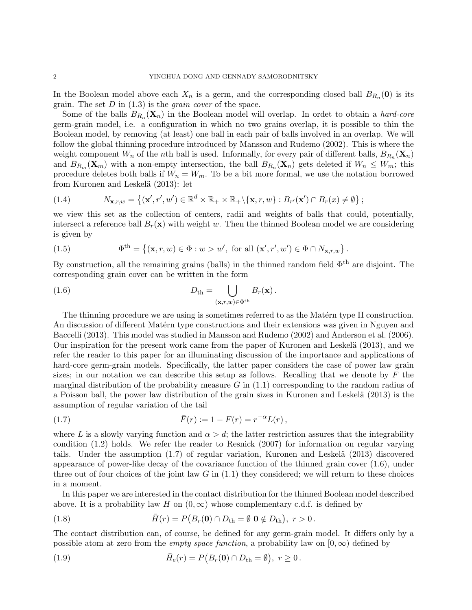In the Boolean model above each  $X_n$  is a germ, and the corresponding closed ball  $B_{R_n}(\mathbf{0})$  is its grain. The set  $D$  in  $(1.3)$  is the *grain cover* of the space.

Some of the balls  $B_{R_n}(\mathbf{X}_n)$  in the Boolean model will overlap. In ordet to obtain a *hard-core* germ-grain model, i.e. a configuration in which no two grains overlap, it is possible to thin the Boolean model, by removing (at least) one ball in each pair of balls involved in an overlap. We will follow the global thinning procedure introduced by Mansson and Rudemo (2002). This is where the weight component  $W_n$  of the nth ball is used. Informally, for every pair of different balls,  $B_{R_n}(\mathbf{X}_n)$ and  $B_{R_m}(\mathbf{X}_m)$  with a non-empty intersection, the ball  $B_{R_n}(\mathbf{X}_n)$  gets deleted if  $W_n \leq W_m$ ; this procedure deletes both balls if  $W_n = W_m$ . To be a bit more formal, we use the notation borrowed from Kuronen and Leskelä (2013): let

(1.4) 
$$
N_{\mathbf{x},r,w} = \{ (\mathbf{x}',r',w') \in \mathbb{R}^d \times \mathbb{R}_+ \times \mathbb{R}_+ \setminus \{ \mathbf{x},r,w \} : B_{r'}(\mathbf{x}') \cap B_r(x) \neq \emptyset \};
$$

we view this set as the collection of centers, radii and weights of balls that could, potentially, intersect a reference ball  $B_r(\mathbf{x})$  with weight w. Then the thinned Boolean model we are considering is given by

(1.5) 
$$
\Phi^{\text{th}} = \{(\mathbf{x}, r, w) \in \Phi : w > w', \text{ for all } (\mathbf{x}', r', w') \in \Phi \cap N_{\mathbf{x}, r, w}\}.
$$

By construction, all the remaining grains (balls) in the thinned random field  $\Phi^{th}$  are disjoint. The corresponding grain cover can be written in the form

(1.6) 
$$
D_{\text{th}} = \bigcup_{(\mathbf{x},r,w)\in\Phi^{\text{th}}} B_r(\mathbf{x}).
$$

The thinning procedure we are using is sometimes referred to as the Matérn type II construction. An discussion of different Matérn type constructions and their extensions was given in Nguyen and Baccelli (2013). This model was studied in Mansson and Rudemo (2002) and Anderson et al. (2006). Our inspiration for the present work came from the paper of Kuronen and Leskelä (2013), and we refer the reader to this paper for an illuminating discussion of the importance and applications of hard-core germ-grain models. Specifically, the latter paper considers the case of power law grain sizes; in our notation we can describe this setup as follows. Recalling that we denote by  $F$  the marginal distribution of the probability measure  $G$  in  $(1.1)$  corresponding to the random radius of a Poisson ball, the power law distribution of the grain sizes in Kuronen and Leskel¨a (2013) is the assumption of regular variation of the tail

(1.7) 
$$
\bar{F}(r) := 1 - F(r) = r^{-\alpha} L(r),
$$

where L is a slowly varying function and  $\alpha > d$ ; the latter restriction assures that the integrability condition (1.2) holds. We refer the reader to Resnick (2007) for information on regular varying tails. Under the assumption  $(1.7)$  of regular variation, Kuronen and Leskelä  $(2013)$  discovered appearance of power-like decay of the covariance function of the thinned grain cover (1.6), under three out of four choices of the joint law  $G$  in  $(1.1)$  they considered; we will return to these choices in a moment.

In this paper we are interested in the contact distribution for the thinned Boolean model described above. It is a probability law H on  $(0, \infty)$  whose complementary c.d.f. is defined by

(1.8) 
$$
\bar{H}(r) = P(B_r(\mathbf{0}) \cap D_{\text{th}} = \emptyset | \mathbf{0} \notin D_{\text{th}}), r > 0.
$$

The contact distribution can, of course, be defined for any germ-grain model. It differs only by a possible atom at zero from the *empty space function*, a probability law on  $[0, \infty)$  defined by

(1.9) 
$$
\bar{H}_{e}(r) = P(B_{r}(\mathbf{0}) \cap D_{th} = \emptyset), r \ge 0.
$$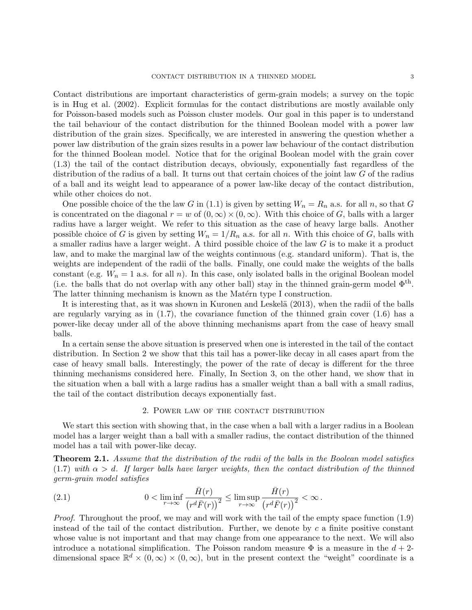Contact distributions are important characteristics of germ-grain models; a survey on the topic is in Hug et al. (2002). Explicit formulas for the contact distributions are mostly available only for Poisson-based models such as Poisson cluster models. Our goal in this paper is to understand the tail behaviour of the contact distribution for the thinned Boolean model with a power law distribution of the grain sizes. Specifically, we are interested in answering the question whether a power law distribution of the grain sizes results in a power law behaviour of the contact distribution for the thinned Boolean model. Notice that for the original Boolean model with the grain cover (1.3) the tail of the contact distribution decays, obviously, exponentially fast regardless of the distribution of the radius of a ball. It turns out that certain choices of the joint law G of the radius of a ball and its weight lead to appearance of a power law-like decay of the contact distribution, while other choices do not.

One possible choice of the the law G in (1.1) is given by setting  $W_n = R_n$  a.s. for all n, so that G is concentrated on the diagonal  $r = w$  of  $(0, \infty) \times (0, \infty)$ . With this choice of G, balls with a larger radius have a larger weight. We refer to this situation as the case of heavy large balls. Another possible choice of G is given by setting  $W_n = 1/R_n$  a.s. for all n. With this choice of G, balls with a smaller radius have a larger weight. A third possible choice of the law G is to make it a product law, and to make the marginal law of the weights continuous (e.g. standard uniform). That is, the weights are independent of the radii of the balls. Finally, one could make the weights of the balls constant (e.g.  $W_n = 1$  a.s. for all n). In this case, only isolated balls in the original Boolean model (i.e. the balls that do not overlap with any other ball) stay in the thinned grain-germ model  $\Phi^{th}$ . The latter thinning mechanism is known as the Matérn type I construction.

It is interesting that, as it was shown in Kuronen and Leskelä (2013), when the radii of the balls are regularly varying as in  $(1.7)$ , the covariance function of the thinned grain cover  $(1.6)$  has a power-like decay under all of the above thinning mechanisms apart from the case of heavy small balls.

In a certain sense the above situation is preserved when one is interested in the tail of the contact distribution. In Section 2 we show that this tail has a power-like decay in all cases apart from the case of heavy small balls. Interestingly, the power of the rate of decay is different for the three thinning mechanisms considered here. Finally, In Section 3, on the other hand, we show that in the situation when a ball with a large radius has a smaller weight than a ball with a small radius, the tail of the contact distribution decays exponentially fast.

#### 2. Power law of the contact distribution

We start this section with showing that, in the case when a ball with a larger radius in a Boolean model has a larger weight than a ball with a smaller radius, the contact distribution of the thinned model has a tail with power-like decay.

**Theorem 2.1.** Assume that the distribution of the radii of the balls in the Boolean model satisfies (1.7) with  $\alpha > d$ . If larger balls have larger weights, then the contact distribution of the thinned germ-grain model satisfies

(2.1) 
$$
0 < \liminf_{r \to \infty} \frac{\bar{H}(r)}{\left(r^d \bar{F}(r)\right)^2} \le \limsup_{r \to \infty} \frac{\bar{H}(r)}{\left(r^d \bar{F}(r)\right)^2} < \infty.
$$

Proof. Throughout the proof, we may and will work with the tail of the empty space function (1.9) instead of the tail of the contact distribution. Further, we denote by c a finite positive constant whose value is not important and that may change from one appearance to the next. We will also introduce a notational simplification. The Poisson random measure  $\Phi$  is a measure in the  $d+2$ dimensional space  $\mathbb{R}^d \times (0,\infty) \times (0,\infty)$ , but in the present context the "weight" coordinate is a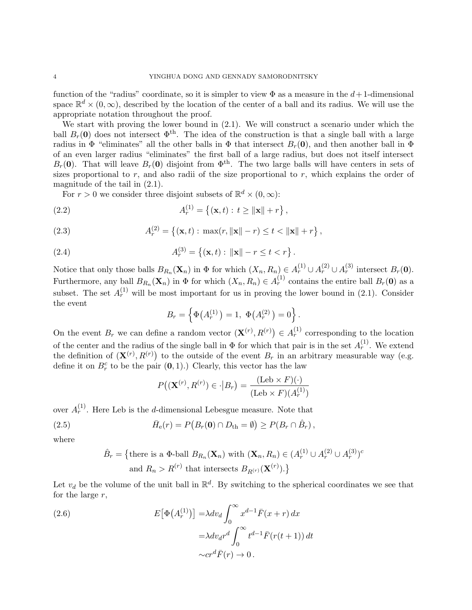function of the "radius" coordinate, so it is simpler to view  $\Phi$  as a measure in the  $d+1$ -dimensional space  $\mathbb{R}^d \times (0,\infty)$ , described by the location of the center of a ball and its radius. We will use the appropriate notation throughout the proof.

We start with proving the lower bound in (2.1). We will construct a scenario under which the ball  $B_r(0)$  does not intersect  $\Phi^{\text{th}}$ . The idea of the construction is that a single ball with a large radius in  $\Phi$  "eliminates" all the other balls in  $\Phi$  that intersect  $B_r(\mathbf{0})$ , and then another ball in  $\Phi$ of an even larger radius "eliminates" the first ball of a large radius, but does not itself intersect  $B_r(\mathbf{0})$ . That will leave  $B_r(\mathbf{0})$  disjoint from  $\Phi^{\text{th}}$ . The two large balls will have centers in sets of sizes proportional to  $r$ , and also radii of the size proportional to  $r$ , which explains the order of magnitude of the tail in (2.1).

For  $r > 0$  we consider three disjoint subsets of  $\mathbb{R}^d \times (0, \infty)$ :

(2.2) 
$$
A_r^{(1)} = \{(\mathbf{x}, t) : t \ge ||\mathbf{x}|| + r\},\
$$

(2.3) 
$$
A_r^{(2)} = \{(\mathbf{x}, t) : \max(r, \|\mathbf{x}\| - r) \le t < \|\mathbf{x}\| + r\},\
$$

(2.4) 
$$
A_r^{(3)} = \{(\mathbf{x}, t) : ||\mathbf{x}|| - r \le t < r\}.
$$

Notice that only those balls  $B_{R_n}(\mathbf{X}_n)$  in  $\Phi$  for which  $(X_n, R_n) \in A_r^{(1)} \cup A_r^{(2)} \cup A_r^{(3)}$  intersect  $B_r(\mathbf{0})$ . Furthermore, any ball  $B_{R_n}(\mathbf{X}_n)$  in  $\Phi$  for which  $(X_n, R_n) \in A_r^{(1)}$  contains the entire ball  $B_r(\mathbf{0})$  as a subset. The set  $A_r^{(1)}$  will be most important for us in proving the lower bound in (2.1). Consider the event

$$
B_r = \left\{ \Phi(A_r^{(1)}) = 1, \ \Phi(A_r^{(2)}) = 0 \right\}.
$$

On the event  $B_r$  we can define a random vector  $(\mathbf{X}^{(r)}, R^{(r)}) \in A_r^{(1)}$  corresponding to the location of the center and the radius of the single ball in  $\Phi$  for which that pair is in the set  $A_r^{(1)}$ . We extend the definition of  $(\mathbf{X}^{(r)}, R^{(r)})$  to the outside of the event  $B_r$  in an arbitrary measurable way (e.g. define it on  $B_r^c$  to be the pair  $(0, 1)$ .) Clearly, this vector has the law

$$
P((\mathbf{X}^{(r)}, R^{(r)}) \in \cdot | B_r) = \frac{(\text{Leb} \times F)(\cdot)}{(\text{Leb} \times F)(A_r^{(1)})}
$$

over  $A_r^{(1)}$ . Here Leb is the *d*-dimensional Lebesgue measure. Note that

(2.5) 
$$
\bar{H}_{\rm e}(r) = P\big(B_r(0) \cap D_{\rm th} = \emptyset\big) \ge P(B_r \cap \hat{B}_r),
$$

where

$$
\hat{B}_r = \{ \text{there is a } \Phi\text{-ball } B_{R_n}(\mathbf{X}_n) \text{ with } (\mathbf{X}_n, R_n) \in (A_r^{(1)} \cup A_r^{(2)} \cup A_r^{(3)})^c \text{ and } R_n > R^{(r)} \text{ that intersects } B_{R^{(r)}}(\mathbf{X}^{(r)}) . \}
$$

Let  $v_d$  be the volume of the unit ball in  $\mathbb{R}^d$ . By switching to the spherical coordinates we see that for the large  $r$ ,

(2.6)  
\n
$$
E[\Phi(A_r^{(1)})] = \lambda dv_d \int_0^\infty x^{d-1} \bar{F}(x+r) dx
$$
\n
$$
= \lambda dv_d r^d \int_0^\infty t^{d-1} \bar{F}(r(t+1)) dt
$$
\n
$$
\sim cr^d \bar{F}(r) \to 0.
$$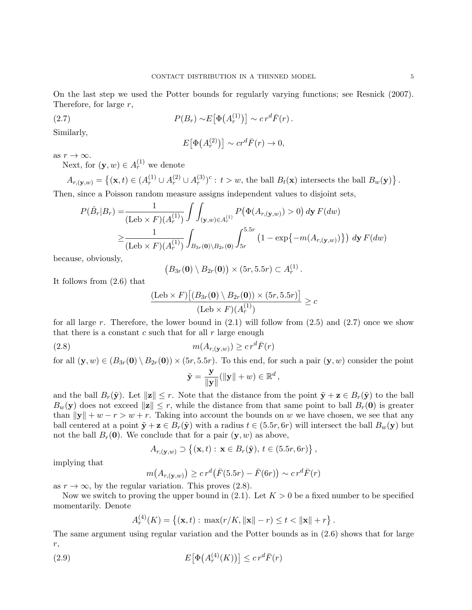On the last step we used the Potter bounds for regularly varying functions; see Resnick (2007). Therefore, for large  $r$ ,

(2.7) 
$$
P(B_r) \sim E\big[\Phi\big(A_r^{(1)}\big)\big] \sim c r^d \bar{F}(r).
$$

Similarly,

$$
E[\Phi(A_r^{(2)})] \sim cr^d \bar{F}(r) \to 0,
$$

as  $r \to \infty$ .

Next, for  $(\mathbf{y}, w) \in A_r^{(1)}$  we denote

$$
A_{r,(\mathbf{y},w)} = \{ (\mathbf{x},t) \in (A_r^{(1)} \cup A_r^{(2)} \cup A_r^{(3)})^c : t > w, \text{ the ball } B_t(\mathbf{x}) \text{ intersects the ball } B_w(\mathbf{y}) \}.
$$
  
Then, since a Poisson random measure assigns independent values to disjoint sets,

$$
P(\hat{B}_r|B_r) = \frac{1}{(\text{Leb} \times F)(A_r^{(1)})} \int \int_{(\mathbf{y},w) \in A_r^{(1)}} P(\Phi(A_{r,(\mathbf{y},w)}) > 0) \, d\mathbf{y} \, F(dw)
$$
  
 
$$
\geq \frac{1}{(\text{Leb} \times F)(A_r^{(1)})} \int_{B_{3r}(\mathbf{0}) \setminus B_{2r}(\mathbf{0})} \int_{5r}^{5.5r} \left(1 - \exp\{-m(A_{r,(\mathbf{y},w)})\}\right) \, d\mathbf{y} \, F(dw)
$$

because, obviously,

$$
(B_{3r}(\mathbf{0})\setminus B_{2r}(\mathbf{0}))\times (5r,5.5r)\subset A_r^{(1)}.
$$

It follows from (2.6) that

$$
\frac{(\text{Leb} \times F) \big[ (B_{3r}(\mathbf{0}) \setminus B_{2r}(\mathbf{0})) \times (5r, 5.5r) \big]}{(\text{Leb} \times F) (A_r^{(1)})} \geq c
$$

for all large r. Therefore, the lower bound in  $(2.1)$  will follow from  $(2.5)$  and  $(2.7)$  once we show that there is a constant  $c$  such that for all  $r$  large enough

$$
(2.8) \t\t\t m(A_{r,(\mathbf{y},w)}) \ge c r^d \bar{F}(r)
$$

for all  $(\mathbf{y}, w) \in (B_{3r}(\mathbf{0}) \setminus B_{2r}(\mathbf{0})) \times (5r, 5.5r)$ . To this end, for such a pair  $(\mathbf{y}, w)$  consider the point

$$
\tilde{\mathbf{y}} = \frac{\mathbf{y}}{\|\mathbf{y}\|} (\|\mathbf{y}\| + w) \in \mathbb{R}^d,
$$

and the ball  $B_r(\tilde{y})$ . Let  $||z|| \leq r$ . Note that the distance from the point  $\tilde{y} + z \in B_r(\tilde{y})$  to the ball  $B_w(\mathbf{y})$  does not exceed  $\|\mathbf{z}\| \leq r$ , while the distance from that same point to ball  $B_r(\mathbf{0})$  is greater than  $\|\mathbf{y}\| + w - r > w + r$ . Taking into account the bounds on w we have chosen, we see that any ball centered at a point  $\tilde{\mathbf{y}} + \mathbf{z} \in B_r(\tilde{\mathbf{y}})$  with a radius  $t \in (5.5r, 6r)$  will intersect the ball  $B_w(\mathbf{y})$  but not the ball  $B_r(0)$ . We conclude that for a pair  $(y, w)$  as above,

$$
A_{r,(\mathbf{y},w)} \supset \{(\mathbf{x},t) : \mathbf{x} \in B_r(\tilde{\mathbf{y}}), t \in (5.5r, 6r)\},\
$$

implying that

$$
m(A_{r,(\mathbf{y},w)}) \geq c r^d \big(\bar{F}(5.5r) - \bar{F}(6r)\big) \sim c r^d \bar{F}(r)
$$

as  $r \to \infty$ , by the regular variation. This proves (2.8).

Now we switch to proving the upper bound in  $(2.1)$ . Let  $K > 0$  be a fixed number to be specified momentarily. Denote

$$
A_r^{(4)}(K) = \{ (\mathbf{x}, t) : \max(r/K, ||\mathbf{x}|| - r) \le t < ||\mathbf{x}|| + r \}.
$$

The same argument using regular variation and the Potter bounds as in (2.6) shows that for large r,

(2.9) 
$$
E\big[\Phi\big(A_r^{(4)}(K)\big)\big] \leq c r^d \bar{F}(r)
$$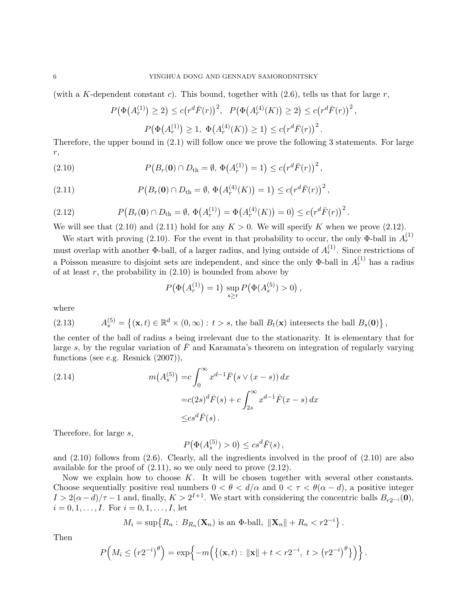(with a K-dependent constant c). This bound, together with  $(2.6)$ , tells us that for large r,

$$
P(\Phi(A_r^{(1)}) \ge 2) \le c(r^d \bar{F}(r))^2, \quad P(\Phi(A_r^{(4)}(K)) \ge 2) \le c(r^d \bar{F}(r))^2,
$$
  

$$
P(\Phi(A_r^{(1)}) \ge 1, \ \Phi(A_r^{(4)}(K)) \ge 1) \le c(r^d \bar{F}(r))^2.
$$

Therefore, the upper bound in (2.1) will follow once we prove the following 3 statements. For large r,

(2.10) 
$$
P(B_r(0) \cap D_{\text{th}} = \emptyset, \Phi(A_r^{(1)}) = 1) \le c (r^d \bar{F}(r))^2,
$$

(2.11) 
$$
P(B_r(\mathbf{0}) \cap D_{\text{th}} = \emptyset, \Phi(A_r^{(4)}(K)) = 1) \le c (r^d \bar{F}(r))^2,
$$

(2.12) 
$$
P(B_r(0) \cap D_{\text{th}} = \emptyset, \Phi(A_r^{(1)}) = \Phi(A_r^{(4)}(K)) = 0) \le c (r^d \bar{F}(r))^2.
$$

We will see that (2.10) and (2.11) hold for any  $K > 0$ . We will specify K when we prove (2.12).

We start with proving (2.10). For the event in that probability to occur, the only  $\Phi$ -ball in  $A_r^{(1)}$ must overlap with another  $\Phi$ -ball, of a larger radius, and lying outside of  $A_r^{(1)}$ . Since restrictions of a Poisson measure to disjoint sets are independent, and since the only  $\Phi$ -ball in  $A_r^{(1)}$  has a radius of at least  $r$ , the probability in  $(2.10)$  is bounded from above by

$$
P(\Phi(A_r^{(1)}) = 1) \sup_{s \ge r} P(\Phi(A_s^{(5)}) > 0),
$$

where

(2.13) 
$$
A_s^{(5)} = \{(\mathbf{x}, t) \in \mathbb{R}^d \times (0, \infty) : t > s, \text{ the ball } B_t(\mathbf{x}) \text{ intersects the ball } B_s(\mathbf{0})\},
$$

the center of the ball of radius s being irrelevant due to the stationarity. It is elementary that for large s, by the regular variation of  $\bar{F}$  and Karamata's theorem on integration of regularly varying functions (see e.g. Resnick (2007)),

(2.14) 
$$
m(A_s^{(5)}) = c \int_0^\infty x^{d-1} \bar{F}(s \vee (x - s)) dx
$$

$$
= c(2s)^d \bar{F}(s) + c \int_{2s}^\infty x^{d-1} \bar{F}(x - s) dx
$$

$$
\leq c s^d \bar{F}(s).
$$

Therefore, for large s,

 $P(\Phi(A_s^{(5)}) > 0) \leq c s^d \bar{F}(s),$ 

and (2.10) follows from (2.6). Clearly, all the ingredients involved in the proof of (2.10) are also available for the proof of (2.11), so we only need to prove (2.12).

Now we explain how to choose  $K$ . It will be chosen together with several other constants. Choose sequentially positive real numbers  $0 < \theta < d/\alpha$  and  $0 < \tau < \theta(\alpha - d)$ , a positive integer  $I > 2(\alpha - d)/\tau - 1$  and, finally,  $K > 2^{I+1}$ . We start with considering the concentric balls  $B_{r2^{-i}}(\mathbf{0}),$  $i = 0, 1, \ldots, I$ . For  $i = 0, 1, \ldots, I$ , let

$$
M_i = \sup\{R_n: B_{R_n}(\mathbf{X}_n) \text{ is an } \Phi\text{-ball}, \ \|\mathbf{X}_n\| + R_n < r2^{-i}\}.
$$

Then

$$
P\left(M_i \le (r2^{-i})^{\theta}\right) = \exp\left\{-m\left(\left\{(\mathbf{x},t): \|\mathbf{x}\| + t < r2^{-i}, t > (r2^{-i})^{\theta}\right\}\right)\right\}.
$$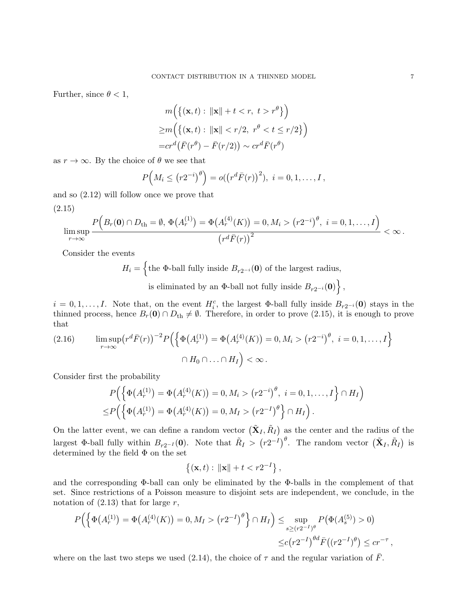Further, since  $\theta < 1$ ,

$$
m\Big(\{(\mathbf{x},t): \|\mathbf{x}\|+t < r, t > r^{\theta}\}\Big)
$$
  
\n
$$
\geq m\Big(\{(\mathbf{x},t): \|\mathbf{x}\| < r/2, r^{\theta} < t \leq r/2\}\Big)
$$
  
\n
$$
= cr^{d}(\bar{F}(r^{\theta}) - \bar{F}(r/2)) \sim cr^{d}\bar{F}(r^{\theta})
$$

as  $r \to \infty$ . By the choice of  $\theta$  we see that

$$
P\left(M_i \le (r2^{-i})^{\theta}\right) = o((r^d \bar{F}(r))^2), i = 0, 1, ..., I,
$$

and so (2.12) will follow once we prove that

$$
(2.15)
$$

$$
\limsup_{r\to\infty}\frac{P\Big(B_r(\mathbf{0})\cap D_{\rm th}=\emptyset,\,\Phi\big(A_r^{(1)}\big)=\Phi\big(A_r^{(4)}(K)\big)=0,M_i>(r2^{-i})^\theta,\,\,i=0,1,\ldots,I\Big)}{\big(r^d\bar{F}(r)\big)^2}<\infty\,.
$$

Consider the events

 $H_i = \{$  the  $\Phi$ -ball fully inside  $B_{r2^{-i}}(0)$  of the largest radius,

is eliminated by an  $\Phi$ -ball not fully inside  $B_{r2^{-i}}(\mathbf{0})\big\}$ ,

 $i = 0, 1, \ldots, I$ . Note that, on the event  $H_i^c$ , the largest  $\Phi$ -ball fully inside  $B_{r2^{-i}}(0)$  stays in the thinned process, hence  $B_r(\mathbf{0}) \cap D_{\text{th}} \neq \emptyset$ . Therefore, in order to prove (2.15), it is enough to prove that

(2.16) 
$$
\limsup_{r \to \infty} (r^d \bar{F}(r))^{-2} P\Big(\Big\{\Phi(A_r^{(1)}) = \Phi(A_r^{(4)}(K)) = 0, M_i > (r2^{-i})^{\theta}, i = 0, 1, ..., I\Big\}
$$

$$
\cap H_0 \cap ... \cap H_I \Big) < \infty.
$$

Consider first the probability

$$
P\Big(\Big\{\Phi\big(A_r^{(1)}\big)=\Phi\big(A_r^{(4)}(K)\big)=0, M_i>(r2^{-i})^\theta, i=0,1,\ldots,I\Big\}\cap H_I
$$
  

$$
\leq P\Big(\Big\{\Phi\big(A_r^{(1)}\big)=\Phi\big(A_r^{(4)}(K)\big)=0, M_I>(r2^{-I})^\theta\Big\}\cap H_I\Big).
$$

On the latter event, we can define a random vector  $(\tilde{\mathbf{X}}_I, \tilde{R}_I)$  as the center and the radius of the largest  $\Phi$ -ball fully within  $B_{r2^{-I}}(0)$ . Note that  $\tilde{R}_I > (r2^{-I})^{\theta}$ . The random vector  $(\tilde{\mathbf{X}}_I, \tilde{R}_I)$  is determined by the field  $\Phi$  on the set

$$
\{(x,t): \|x\| + t < r2^{-I}\},\
$$

and the corresponding Φ-ball can only be eliminated by the Φ-balls in the complement of that set. Since restrictions of a Poisson measure to disjoint sets are independent, we conclude, in the notation of  $(2.13)$  that for large r,

$$
P\Big(\Big\{\Phi\big(A_r^{(1)}\big) = \Phi\big(A_r^{(4)}(K)\big) = 0, M_I > \left(r2^{-I}\right)^{\theta}\Big\} \cap H_I\Big) \le \sup_{s \ge (r2^{-I})^{\theta}} P\big(\Phi(A_s^{(5)}) > 0\big) \\
\le c\big(r2^{-I}\big)^{\theta d} \bar{F}\big((r2^{-I})^{\theta}\big) \le c r^{-\tau},
$$

where on the last two steps we used (2.14), the choice of  $\tau$  and the regular variation of F.

 $\big)$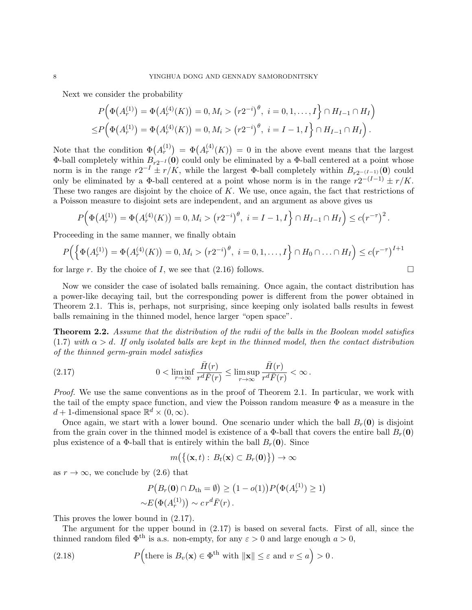Next we consider the probability

$$
P(\Phi(A_r^{(1)}) = \Phi(A_r^{(4)}(K)) = 0, M_i > (r2^{-i})^{\theta}, i = 0, 1, ..., I\} \cap H_{I-1} \cap H_I)
$$
  

$$
\leq P(\Phi(A_r^{(1)}) = \Phi(A_r^{(4)}(K)) = 0, M_i > (r2^{-i})^{\theta}, i = I-1, I\} \cap H_{I-1} \cap H_I).
$$

Note that the condition  $\Phi(A_r^{(1)}) = \Phi(A_r^{(4)}(K)) = 0$  in the above event means that the largest Φ-ball completely within  $B_{r2^{-I}}(0)$  could only be eliminated by a Φ-ball centered at a point whose norm is in the range  $r2^{-1} \pm r/K$ , while the largest  $\Phi$ -ball completely within  $B_{r2^{-(I-1)}}(0)$  could only be eliminated by a  $\Phi$ -ball centered at a point whose norm is in the range  $r2^{-(I-1)} \pm r/K$ . These two ranges are disjoint by the choice of K. We use, once again, the fact that restrictions of a Poisson measure to disjoint sets are independent, and an argument as above gives us

$$
P(\Phi(A_r^{(1)}) = \Phi(A_r^{(4)}(K)) = 0, M_i > (r2^{-i})^{\theta}, i = I - 1, I\} \cap H_{I-1} \cap H_I) \le c(r^{-\tau})^2.
$$

Proceeding in the same manner, we finally obtain

$$
P\Big(\Big\{\Phi\big(A_r^{(1)}\big)=\Phi\big(A_r^{(4)}(K)\big)=0, M_i>(r2^{-i})^{\theta}, i=0,1,\ldots,I\Big\}\cap H_0\cap\ldots\cap H_I\Big)\le c\big(r^{-\tau}\big)^{I+1}
$$

for large r. By the choice of I, we see that  $(2.16)$  follows.

Now we consider the case of isolated balls remaining. Once again, the contact distribution has a power-like decaying tail, but the corresponding power is different from the power obtained in Theorem 2.1. This is, perhaps, not surprising, since keeping only isolated balls results in fewest balls remaining in the thinned model, hence larger "open space".

**Theorem 2.2.** Assume that the distribution of the radii of the balls in the Boolean model satisfies (1.7) with  $\alpha > d$ . If only isolated balls are kept in the thinned model, then the contact distribution of the thinned germ-grain model satisfies

(2.17) 
$$
0 < \liminf_{r \to \infty} \frac{\bar{H}(r)}{r^d \bar{F}(r)} \le \limsup_{r \to \infty} \frac{\bar{H}(r)}{r^d \bar{F}(r)} < \infty.
$$

Proof. We use the same conventions as in the proof of Theorem 2.1. In particular, we work with the tail of the empty space function, and view the Poisson random measure  $\Phi$  as a measure in the  $d+1$ -dimensional space  $\mathbb{R}^d \times (0,\infty)$ .

Once again, we start with a lower bound. One scenario under which the ball  $B_r(0)$  is disjoint from the grain cover in the thinned model is existence of a  $\Phi$ -ball that covers the entire ball  $B_r(\mathbf{0})$ plus existence of a  $\Phi$ -ball that is entirely within the ball  $B_r(\mathbf{0})$ . Since

$$
m(\{(\mathbf{x},t): B_t(\mathbf{x}) \subset B_r(\mathbf{0})\}) \to \infty
$$

as  $r \to \infty$ , we conclude by (2.6) that

$$
P(Br(\mathbf{0}) \cap Dth = \emptyset) \ge (1 - o(1)) P(\Phi(Ar(1)) \ge 1)
$$
  
\sim E(\Phi(A<sub>r</sub><sup>(1)</sup>)) \sim c r<sup>d</sup> F(r).

This proves the lower bound in (2.17).

The argument for the upper bound in (2.17) is based on several facts. First of all, since the thinned random filed  $\Phi^{\text{th}}$  is a.s. non-empty, for any  $\varepsilon > 0$  and large enough  $a > 0$ ,

(2.18) 
$$
P\left(\text{there is } B_v(\mathbf{x}) \in \Phi^{\text{th}} \text{ with } \|\mathbf{x}\| \leq \varepsilon \text{ and } v \leq a\right) > 0.
$$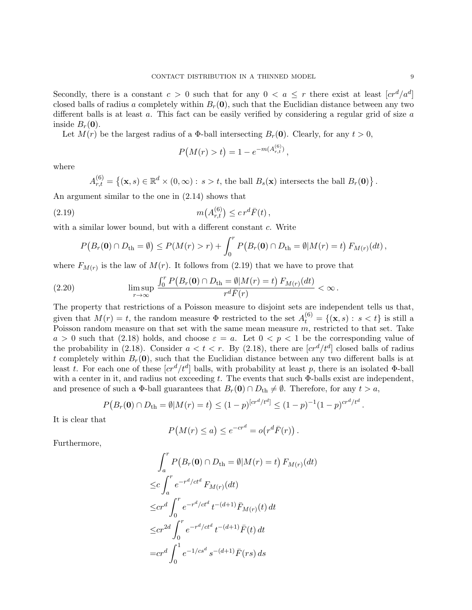Secondly, there is a constant  $c > 0$  such that for any  $0 < a \leq r$  there exist at least  $[cr^d/a^d]$ closed balls of radius a completely within  $B_r(\mathbf{0})$ , such that the Euclidian distance between any two different balls is at least  $a$ . This fact can be easily verified by considering a regular grid of size  $a$ inside  $B_r(0)$ .

Let  $M(r)$  be the largest radius of a  $\Phi$ -ball intersecting  $B_r(\mathbf{0})$ . Clearly, for any  $t > 0$ ,

$$
P(M(r) > t) = 1 - e^{-m(A_{r,t}^{(6)})},
$$

where

$$
A_{r,t}^{(6)} = \{(\mathbf{x}, s) \in \mathbb{R}^d \times (0, \infty) : s > t, \text{ the ball } B_s(\mathbf{x}) \text{ intersects the ball } B_r(\mathbf{0})\}
$$

An argument similar to the one in (2.14) shows that

(2.19) 
$$
m(A_{r,t}^{(6)}) \leq c r^d \bar{F}(t),
$$

with a similar lower bound, but with a different constant c. Write

$$
P(B_r(\mathbf{0}) \cap D_{\rm th} = \emptyset) \le P(M(r) > r) + \int_0^r P(B_r(\mathbf{0}) \cap D_{\rm th} = \emptyset | M(r) = t) F_{M(r)}(dt),
$$

where  $F_{M(r)}$  is the law of  $M(r)$ . It follows from (2.19) that we have to prove that

(2.20) 
$$
\limsup_{r \to \infty} \frac{\int_0^r P(B_r(\mathbf{0}) \cap D_{\text{th}} = \emptyset | M(r) = t) F_{M(r)}(dt)}{r^d \bar{F}(r)} < \infty.
$$

The property that restrictions of a Poisson measure to disjoint sets are independent tells us that, given that  $M(r) = t$ , the random measure  $\Phi$  restricted to the set  $A_t^{(6)} = \{(\mathbf{x}, s): s < t\}$  is still a Poisson random measure on that set with the same mean measure  $m$ , restricted to that set. Take  $a > 0$  such that (2.18) holds, and choose  $\varepsilon = a$ . Let  $0 < p < 1$  be the corresponding value of the probability in (2.18). Consider  $a < t < r$ . By (2.18), there are  $[cr^d/t^d]$  closed balls of radius t completely within  $B_r(0)$ , such that the Euclidian distance between any two different balls is at least t. For each one of these  $[cr^d/t^d]$  balls, with probability at least p, there is an isolated  $\Phi$ -ball with a center in it, and radius not exceeding t. The events that such  $\Phi$ -balls exist are independent, and presence of such a  $\Phi$ -ball guarantees that  $B_r(\mathbf{0}) \cap D_{th} \neq \emptyset$ . Therefore, for any  $t > a$ ,

$$
P(B_r(\mathbf{0}) \cap D_{\rm th} = \emptyset | M(r) = t) \le (1-p)^{[cr^d/t^d]} \le (1-p)^{-1}(1-p)^{cr^d/t^d}.
$$

It is clear that

$$
P(M(r) \le a) \le e^{-cr^d} = o(r^d \bar{F}(r)).
$$

Furthermore,

$$
\int_{a}^{r} P(B_{r}(\mathbf{0}) \cap D_{th} = \emptyset | M(r) = t) F_{M(r)}(dt)
$$
  
\n
$$
\leq c \int_{a}^{r} e^{-r^{d}/ct^{d}} F_{M(r)}(dt)
$$
  
\n
$$
\leq cr^{d} \int_{0}^{r} e^{-r^{d}/ct^{d}} t^{-(d+1)} \bar{F}_{M(r)}(t) dt
$$
  
\n
$$
\leq cr^{2d} \int_{0}^{r} e^{-r^{d}/ct^{d}} t^{-(d+1)} \bar{F}(t) dt
$$
  
\n
$$
= cr^{d} \int_{0}^{1} e^{-1/cs^{d}} s^{-(d+1)} \bar{F}(rs) ds
$$

.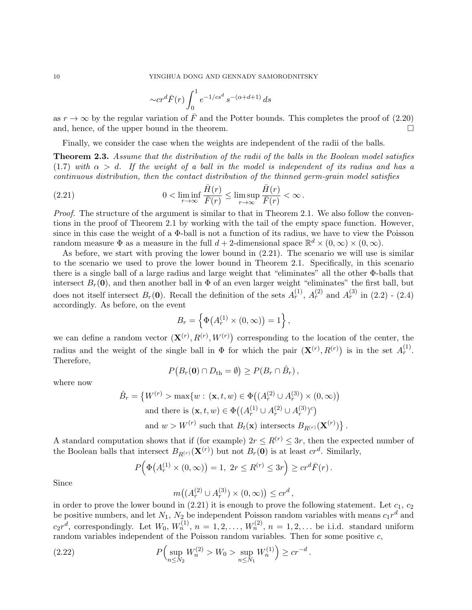$$
\sim cr^d \bar{F}(r) \int_0^1 e^{-1/cs^d} s^{-(\alpha+d+1)} ds
$$

as  $r \to \infty$  by the regular variation of  $\overline{F}$  and the Potter bounds. This completes the proof of (2.20) and, hence, of the upper bound in the theorem.

Finally, we consider the case when the weights are independent of the radii of the balls.

**Theorem 2.3.** Assume that the distribution of the radii of the balls in the Boolean model satisfies (1.7) with  $\alpha > d$ . If the weight of a ball in the model is independent of its radius and has a continuous distribution, then the contact distribution of the thinned germ-grain model satisfies

(2.21) 
$$
0 < \liminf_{r \to \infty} \frac{\bar{H}(r)}{\bar{F}(r)} \le \limsup_{r \to \infty} \frac{\bar{H}(r)}{\bar{F}(r)} < \infty.
$$

Proof. The structure of the argument is similar to that in Theorem 2.1. We also follow the conventions in the proof of Theorem 2.1 by working with the tail of the empty space function. However, since in this case the weight of a Φ-ball is not a function of its radius, we have to view the Poisson random measure  $\Phi$  as a measure in the full  $d+2$ -dimensional space  $\mathbb{R}^d \times (0,\infty) \times (0,\infty)$ .

As before, we start with proving the lower bound in (2.21). The scenario we will use is similar to the scenario we used to prove the lower bound in Theorem 2.1. Specifically, in this scenario there is a single ball of a large radius and large weight that "eliminates" all the other Φ-balls that intersect  $B_r(\mathbf{0})$ , and then another ball in  $\Phi$  of an even larger weight "eliminates" the first ball, but does not itself intersect  $B_r(\mathbf{0})$ . Recall the definition of the sets  $A_r^{(1)}$ ,  $A_r^{(2)}$  and  $A_r^{(3)}$  in (2.2) - (2.4) accordingly. As before, on the event

$$
B_r = \left\{ \Phi\big(A_r^{(1)} \times (0, \infty)\big) = 1 \right\},\,
$$

we can define a random vector  $(\mathbf{X}^{(r)}, R^{(r)}, W^{(r)})$  corresponding to the location of the center, the radius and the weight of the single ball in  $\Phi$  for which the pair  $(\mathbf{X}^{(r)}, R^{(r)})$  is in the set  $A_r^{(1)}$ . Therefore,

$$
P(B_r(\mathbf{0}) \cap D_{\rm th} = \emptyset) \ge P(B_r \cap \hat{B}_r),
$$

where now

$$
\hat{B}_r = \left\{ W^{(r)} > \max\{w : (\mathbf{x}, t, w) \in \Phi\big((A_r^{(2)} \cup A_r^{(3)}) \times (0, \infty)\big) \atop \text{and there is } (\mathbf{x}, t, w) \in \Phi\big((A_r^{(1)} \cup A_r^{(2)} \cup A_r^{(3)})^c\big) \atop \text{and } w > W^{(r)} \text{ such that } B_t(\mathbf{x}) \text{ intersects } B_{R^{(r)}}(\mathbf{X}^{(r)}) \right\}.
$$

A standard computation shows that if (for example)  $2r \leq R^{(r)} \leq 3r$ , then the expected number of the Boolean balls that intersect  $B_{R^{(r)}}(\mathbf{X}^{(r)})$  but not  $B_r(\mathbf{0})$  is at least  $cr^d$ . Similarly,

$$
P(\Phi(A_r^{(1)} \times (0, \infty)) = 1, 2r \le R^{(r)} \le 3r) \ge cr^d \bar{F}(r).
$$

Since

$$
m((A_r^{(2)} \cup A_r^{(3)}) \times (0, \infty)) \leq cr^d,
$$

in order to prove the lower bound in  $(2.21)$  it is enough to prove the following statement. Let  $c_1, c_2$ be positive numbers, and let  $N_1$ ,  $N_2$  be independent Poisson random variables with means  $c_1r^d$  and  $c_2r^d$ , correspondingly. Let  $W_0, W_n^{(1)}, n = 1, 2, \ldots, W_n^{(2)}, n = 1, 2, \ldots$  be i.i.d. standard uniform random variables independent of the Poisson random variables. Then for some positive  $c$ ,

(2.22) 
$$
P\left(\sup_{n\leq N_2} W_n^{(2)} > W_0 > \sup_{n\leq N_1} W_n^{(1)}\right) \geq cr^{-d}.
$$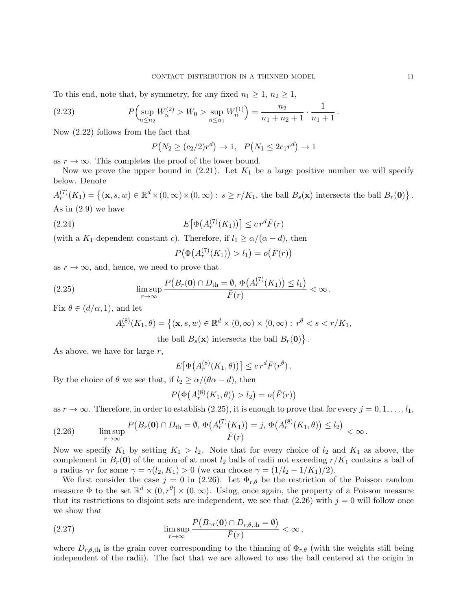To this end, note that, by symmetry, for any fixed  $n_1 \geq 1$ ,  $n_2 \geq 1$ ,

(2.23) 
$$
P\left(\sup_{n\leq n_2} W_n^{(2)} > W_0 > \sup_{n\leq n_1} W_n^{(1)}\right) = \frac{n_2}{n_1 + n_2 + 1} \cdot \frac{1}{n_1 + 1}
$$

Now (2.22) follows from the fact that

$$
P(N_2 \ge (c_2/2)r^d) \to 1, \quad P(N_1 \le 2c_1r^d) \to 1
$$

as  $r \to \infty$ . This completes the proof of the lower bound.

Now we prove the upper bound in  $(2.21)$ . Let  $K_1$  be a large positive number we will specify below. Denote

 $A_r^{(7)}(K_1) = \{(\mathbf{x}, s, w) \in \mathbb{R}^d \times (0, \infty) \times (0, \infty) : s \ge r/K_1$ , the ball  $B_s(\mathbf{x})$  intersects the ball  $B_r(\mathbf{0})\}$ . As in (2.9) we have

(2.24) 
$$
E\big[\Phi\big(A_r^{(7)}(K_1)\big)\big] \leq c r^d \bar{F}(r)
$$

(with a K<sub>1</sub>-dependent constant c). Therefore, if  $l_1 \geq \alpha/(\alpha - d)$ , then

$$
P(\Phi(A_r^{(7)}(K_1)) > l_1) = o(\bar{F}(r))
$$

as  $r \to \infty$ , and, hence, we need to prove that

(2.25) 
$$
\limsup_{r\to\infty}\frac{P(B_r(\mathbf{0})\cap D_{\rm th}=\emptyset,\,\Phi(A_r^{(7)}(K_1))\leq l_1)}{\bar{F}(r)}<\infty.
$$

Fix  $\theta \in (d/\alpha, 1)$ , and let

$$
A_r^{(8)}(K_1,\theta) = \left\{ (\mathbf{x}, s, w) \in \mathbb{R}^d \times (0, \infty) \times (0, \infty) : r^{\theta} < s < r/K_1, \right\}
$$

the ball  $B_s(\mathbf{x})$  intersects the ball  $B_r(\mathbf{0})\}$ .

As above, we have for large  $r$ ,

$$
E[\Phi(A_r^{(8)}(K_1,\theta))] \leq c r^d \bar{F}(r^{\theta}).
$$

By the choice of  $\theta$  we see that, if  $l_2 \geq \alpha/(\theta \alpha - d)$ , then

$$
P(\Phi(A_r^{(8)}(K_1,\theta)) > l_2) = o(\bar{F}(r))
$$

as  $r \to \infty$ . Therefore, in order to establish (2.25), it is enough to prove that for every  $j = 0, 1, \ldots, l_1$ ,

$$
(2.26) \qquad \limsup_{r \to \infty} \frac{P(B_r(\mathbf{0}) \cap D_{\rm th} = \emptyset, \, \Phi(A_r^{(7)}(K_1)) = j, \, \Phi(A_r^{(8)}(K_1, \theta)) \le l_2)}{\bar{F}(r)} < \infty \, .
$$

Now we specify  $K_1$  by setting  $K_1 > l_2$ . Note that for every choice of  $l_2$  and  $K_1$  as above, the complement in  $B_r(0)$  of the union of at most  $l_2$  balls of radii not exceeding  $r/K_1$  contains a ball of a radius  $\gamma r$  for some  $\gamma = \gamma(l_2, K_1) > 0$  (we can choose  $\gamma = (1/l_2 - 1/K_1)/2$ ).

We first consider the case  $j = 0$  in (2.26). Let  $\Phi_{r,\theta}$  be the restriction of the Poisson random measure  $\Phi$  to the set  $\mathbb{R}^d \times (0, r^{\theta}] \times (0, \infty)$ . Using, once again, the property of a Poisson measure that its restrictions to disjoint sets are independent, we see that  $(2.26)$  with  $j = 0$  will follow once we show that

(2.27) 
$$
\limsup_{r \to \infty} \frac{P(B_{\gamma r}(\mathbf{0}) \cap D_{r,\theta,\text{th}} = \emptyset)}{\bar{F}(r)} < \infty,
$$

where  $D_{r,\theta,th}$  is the grain cover corresponding to the thinning of  $\Phi_{r,\theta}$  (with the weights still being independent of the radii). The fact that we are allowed to use the ball centered at the origin in

.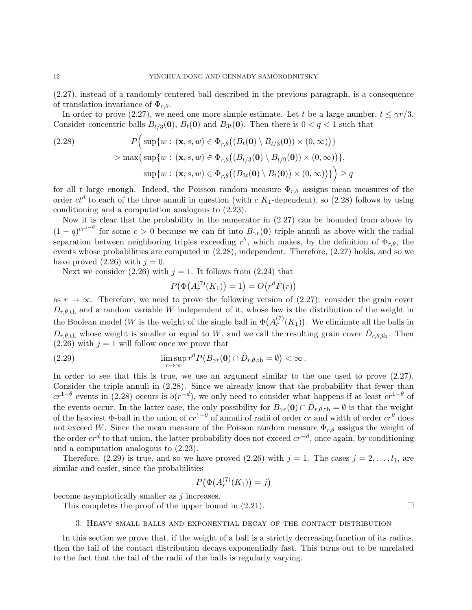(2.27), instead of a randomly centered ball described in the previous paragraph, is a consequence of translation invariance of  $\Phi_{r,\theta}$ .

In order to prove (2.27), we need one more simple estimate. Let t be a large number,  $t \leq \gamma r/3$ . Consider concentric balls  $B_{t/3}(\mathbf{0}), B_t(\mathbf{0})$  and  $B_{3t}(\mathbf{0})$ . Then there is  $0 < q < 1$  such that

(2.28) 
$$
P\Big(\sup\{w : (\mathbf{x}, s, w) \in \Phi_{r,\theta}\big((B_t(\mathbf{0}) \setminus B_{t/3}(\mathbf{0})) \times (0, \infty)\big)\}\Big) > \max\big(\sup\{w : (\mathbf{x}, s, w) \in \Phi_{r,\theta}\big((B_{t/3}(\mathbf{0}) \setminus B_{t/9}(\mathbf{0})) \times (0, \infty)\big)\}\Big),
$$

$$
\sup\{w : (\mathbf{x}, s, w) \in \Phi_{r,\theta}\big((B_{3t}(\mathbf{0}) \setminus B_t(\mathbf{0})) \times (0, \infty)\big)\}\Big) \ge q
$$

for all t large enough. Indeed, the Poisson random measure  $\Phi_{r,\theta}$  assigns mean measures of the order  $ct^d$  to each of the three annuli in question (with c  $K_1$ -dependent), so (2.28) follows by using conditioning and a computation analogous to (2.23).

Now it is clear that the probability in the numerator in (2.27) can be bounded from above by  $(1-q)^{cr^{1-\theta}}$  for some  $c>0$  because we can fit into  $B_{\gamma r}(0)$  triple annuli as above with the radial separation between neighboring triples exceeding  $r^{\theta}$ , which makes, by the definition of  $\Phi_{r,\theta}$ , the events whose probabilities are computed in (2.28), independent. Therefore, (2.27) holds, and so we have proved  $(2.26)$  with  $j = 0$ .

Next we consider (2.26) with  $j = 1$ . It follows from (2.24) that

$$
P(\Phi(A_r^{(7)}(K_1)) = 1) = O(r^d \bar{F}(r))
$$

as  $r \to \infty$ . Therefore, we need to prove the following version of (2.27): consider the grain cover  $D_{r,\theta,\text{th}}$  and a random variable W independent of it, whose law is the distribution of the weight in the Boolean model (W is the weight of the single ball in  $\Phi(A_r^{(7)}(K_1))$ . We eliminate all the balls in  $D_{r,\theta,\text{th}}$  whose weight is smaller or equal to W, and we call the resulting grain cover  $\hat{D}_{r,\theta,\text{th}}$ . Then  $(2.26)$  with  $j = 1$  will follow once we prove that

(2.29) 
$$
\limsup_{r \to \infty} r^d P(B_{\gamma r}(\mathbf{0}) \cap \hat{D}_{r,\theta,\text{th}} = \emptyset) < \infty.
$$

In order to see that this is true, we use an argument similar to the one used to prove (2.27). Consider the triple annuli in (2.28). Since we already know that the probability that fewer than  $cr^{1-\theta}$  events in (2.28) occurs is  $o(r^{-d})$ , we only need to consider what happens if at least  $cr^{1-\theta}$  of the events occur. In the latter case, the only possibility for  $B_{\gamma r}(0) \cap \hat{D}_{r,\theta,\text{th}} = \emptyset$  is that the weight of the heaviest  $\Phi$ -ball in the union of  $cr^{1-\theta}$  of annuli of radii of order cr and width of order  $cr^{\theta}$  does not exceed W. Since the mean measure of the Poisson random measure  $\Phi_{r,\theta}$  assigns the weight of the order  $cr^d$  to that union, the latter probability does not exceed  $cr^{-d}$ , once again, by conditioning and a computation analogous to (2.23).

Therefore, (2.29) is true, and so we have proved (2.26) with  $j = 1$ . The cases  $j = 2, \ldots, l_1$ , are similar and easier, since the probabilities

$$
P(\Phi(A_r^{(7)}(K_1)) = j)
$$

become asymptotically smaller as j increases.

This completes the proof of the upper bound in  $(2.21)$ .

### 3. Heavy small balls and exponential decay of the contact distribution

In this section we prove that, if the weight of a ball is a strictly decreasing function of its radius, then the tail of the contact distribution decays exponentially fast. This turns out to be unrelated to the fact that the tail of the radii of the balls is regularly varying.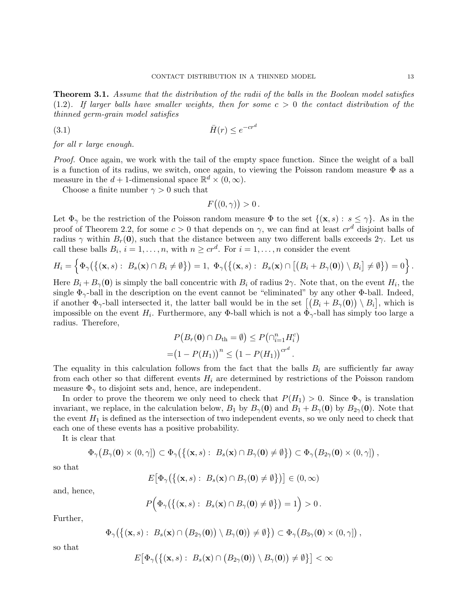**Theorem 3.1.** Assume that the distribution of the radii of the balls in the Boolean model satisfies  $(1.2)$ . If larger balls have smaller weights, then for some  $c > 0$  the contact distribution of the thinned germ-grain model satisfies

$$
\bar{H}(r) \le e^{-cr^d}
$$

for all r large enough.

Proof. Once again, we work with the tail of the empty space function. Since the weight of a ball is a function of its radius, we switch, once again, to viewing the Poisson random measure  $\Phi$  as a measure in the  $d+1$ -dimensional space  $\mathbb{R}^d \times (0,\infty)$ .

Choose a finite number  $\gamma > 0$  such that

$$
F((0,\gamma)) > 0.
$$

Let  $\Phi_{\gamma}$  be the restriction of the Poisson random measure  $\Phi$  to the set  $\{(\mathbf{x},s): s \leq \gamma\}$ . As in the proof of Theorem 2.2, for some  $c > 0$  that depends on  $\gamma$ , we can find at least  $cr^d$  disjoint balls of radius  $\gamma$  within  $B_r(0)$ , such that the distance between any two different balls exceeds  $2\gamma$ . Let us call these balls  $B_i$ ,  $i = 1, ..., n$ , with  $n \geq cr^d$ . For  $i = 1, ..., n$  consider the event

$$
H_i = \left\{ \Phi_{\gamma}\big(\big\{(\mathbf{x},s): B_s(\mathbf{x}) \cap B_i \neq \emptyset\big\}\big) = 1, \ \Phi_{\gamma}\big(\big\{(\mathbf{x},s): B_s(\mathbf{x}) \cap \big[\big(B_i + B_{\gamma}(\mathbf{0})\big) \setminus B_i\big] \neq \emptyset\big\}\big) = 0 \right\}.
$$

Here  $B_i + B_{\gamma}(\mathbf{0})$  is simply the ball concentric with  $B_i$  of radius  $2\gamma$ . Note that, on the event  $H_i$ , the single  $\Phi_{\gamma}$ -ball in the description on the event cannot be "eliminated" by any other Φ-ball. Indeed, if another  $\Phi_{\gamma}$ -ball intersected it, the latter ball would be in the set  $[(B_i + B_{\gamma}(0)) \setminus B_i]$ , which is impossible on the event  $H_i$ . Furthermore, any Φ-ball which is not a  $\Phi_{\gamma}$ -ball has simply too large a radius. Therefore,

$$
P(B_r(\mathbf{0}) \cap D_{\rm th} = \emptyset) \le P(\cap_{i=1}^n H_i^c)
$$
  
=  $(1 - P(H_1))^n \le (1 - P(H_1))^{cr^d}$ .

The equality in this calculation follows from the fact that the balls  $B_i$  are sufficiently far away from each other so that different events  $H_i$  are determined by restrictions of the Poisson random measure  $\Phi_{\gamma}$  to disjoint sets and, hence, are independent.

In order to prove the theorem we only need to check that  $P(H_1) > 0$ . Since  $\Phi_{\gamma}$  is translation invariant, we replace, in the calculation below,  $B_1$  by  $B_\gamma(\mathbf{0})$  and  $B_1 + B_\gamma(\mathbf{0})$  by  $B_{2\gamma}(\mathbf{0})$ . Note that the event  $H_1$  is defined as the intersection of two independent events, so we only need to check that each one of these events has a positive probability.

It is clear that

$$
\Phi_{\gamma}\big(B_{\gamma}(\mathbf{0})\times(0,\gamma]\big)\subset\Phi_{\gamma}\big(\big\{(\mathbf{x},s):\ B_{s}(\mathbf{x})\cap B_{\gamma}(\mathbf{0})\neq\emptyset\big\}\big)\subset\Phi_{\gamma}\big(B_{2\gamma}(\mathbf{0})\times(0,\gamma]\big)\,,
$$

so that

$$
E\big[\Phi_{\gamma}\big(\big\{(\mathbf{x},s): B_s(\mathbf{x}) \cap B_{\gamma}(\mathbf{0}) \neq \emptyset\big\}\big)\big] \in (0,\infty)
$$

and, hence,

$$
P\Big(\Phi_{\gamma}\big(\big\{(\mathbf{x},s): B_{s}(\mathbf{x})\cap B_{\gamma}(\mathbf{0})\neq\emptyset\big\}\big)=1\Big)>0.
$$

Further,

$$
\Phi_{\gamma}\big(\big\{(\mathbf{x},s):\;B_{s}(\mathbf{x})\cap(B_{2\gamma}(\mathbf{0}))\setminus B_{\gamma}(\mathbf{0})\big)\neq\emptyset\big\}\big)\subset\Phi_{\gamma}\big(B_{3\gamma}(\mathbf{0})\times(0,\gamma]\big)\,,
$$

so that

$$
E\big[\Phi_{\gamma}\big(\big\{(\mathbf{x},s):\;B_{s}(\mathbf{x})\cap\big(B_{2\gamma}(\mathbf{0})\big)\setminus B_{\gamma}(\mathbf{0})\big)\neq\emptyset\big\}\big]<\infty
$$